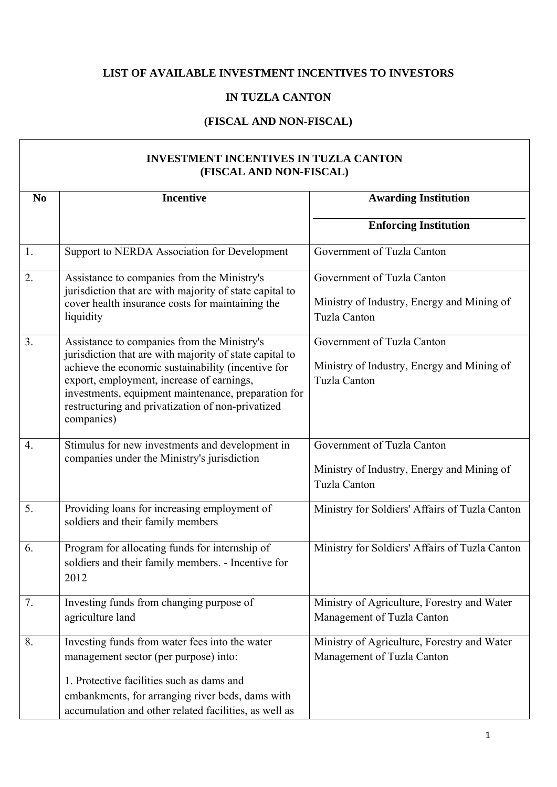## **LIST OF AVAILABLE INVESTMENT INCENTIVES TO INVESTORS**

## **IN TUZLA CANTON**

## **(FISCAL AND NON-FISCAL)**

| <b>INVESTMENT INCENTIVES IN TUZLA CANTON</b><br>(FISCAL AND NON-FISCAL) |                                                                                                                                                                                                                                                                                                                                     |                                                                                                 |
|-------------------------------------------------------------------------|-------------------------------------------------------------------------------------------------------------------------------------------------------------------------------------------------------------------------------------------------------------------------------------------------------------------------------------|-------------------------------------------------------------------------------------------------|
| N <sub>0</sub>                                                          | <b>Incentive</b>                                                                                                                                                                                                                                                                                                                    | <b>Awarding Institution</b>                                                                     |
|                                                                         |                                                                                                                                                                                                                                                                                                                                     | <b>Enforcing Institution</b>                                                                    |
| 1.                                                                      | Support to NERDA Association for Development                                                                                                                                                                                                                                                                                        | Government of Tuzla Canton                                                                      |
| 2.                                                                      | Assistance to companies from the Ministry's<br>jurisdiction that are with majority of state capital to<br>cover health insurance costs for maintaining the<br>liquidity                                                                                                                                                             | Government of Tuzla Canton<br>Ministry of Industry, Energy and Mining of<br><b>Tuzla Canton</b> |
| 3.                                                                      | Assistance to companies from the Ministry's<br>jurisdiction that are with majority of state capital to<br>achieve the economic sustainability (incentive for<br>export, employment, increase of earnings,<br>investments, equipment maintenance, preparation for<br>restructuring and privatization of non-privatized<br>companies) | Government of Tuzla Canton<br>Ministry of Industry, Energy and Mining of<br><b>Tuzla Canton</b> |
| $\overline{4}$ .                                                        | Stimulus for new investments and development in<br>companies under the Ministry's jurisdiction                                                                                                                                                                                                                                      | Government of Tuzla Canton<br>Ministry of Industry, Energy and Mining of<br><b>Tuzla Canton</b> |
| $\overline{5}$ .                                                        | Providing loans for increasing employment of<br>soldiers and their family members                                                                                                                                                                                                                                                   | Ministry for Soldiers' Affairs of Tuzla Canton                                                  |
| 6.                                                                      | Program for allocating funds for internship of<br>soldiers and their family members. - Incentive for<br>2012                                                                                                                                                                                                                        | Ministry for Soldiers' Affairs of Tuzla Canton                                                  |
| 7.                                                                      | Investing funds from changing purpose of<br>agriculture land                                                                                                                                                                                                                                                                        | Ministry of Agriculture, Forestry and Water<br>Management of Tuzla Canton                       |
| 8.                                                                      | Investing funds from water fees into the water<br>management sector (per purpose) into:<br>1. Protective facilities such as dams and<br>embankments, for arranging river beds, dams with<br>accumulation and other related facilities, as well as                                                                                   | Ministry of Agriculture, Forestry and Water<br>Management of Tuzla Canton                       |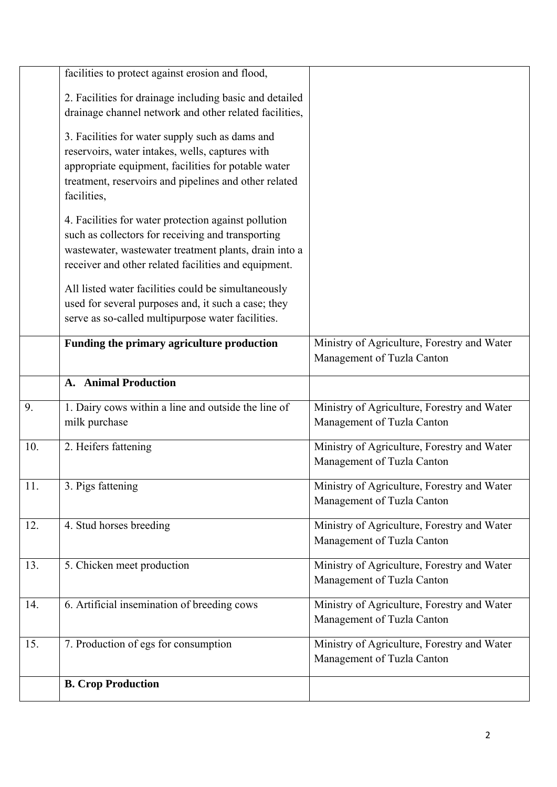|     | facilities to protect against erosion and flood,                                                                                                                                                                                  |                                                                           |
|-----|-----------------------------------------------------------------------------------------------------------------------------------------------------------------------------------------------------------------------------------|---------------------------------------------------------------------------|
|     | 2. Facilities for drainage including basic and detailed<br>drainage channel network and other related facilities,                                                                                                                 |                                                                           |
|     | 3. Facilities for water supply such as dams and<br>reservoirs, water intakes, wells, captures with<br>appropriate equipment, facilities for potable water<br>treatment, reservoirs and pipelines and other related<br>facilities, |                                                                           |
|     | 4. Facilities for water protection against pollution<br>such as collectors for receiving and transporting<br>wastewater, wastewater treatment plants, drain into a<br>receiver and other related facilities and equipment.        |                                                                           |
|     | All listed water facilities could be simultaneously<br>used for several purposes and, it such a case; they<br>serve as so-called multipurpose water facilities.                                                                   |                                                                           |
|     | Funding the primary agriculture production                                                                                                                                                                                        | Ministry of Agriculture, Forestry and Water<br>Management of Tuzla Canton |
|     | A. Animal Production                                                                                                                                                                                                              |                                                                           |
| 9.  | 1. Dairy cows within a line and outside the line of<br>milk purchase                                                                                                                                                              | Ministry of Agriculture, Forestry and Water<br>Management of Tuzla Canton |
| 10. | 2. Heifers fattening                                                                                                                                                                                                              | Ministry of Agriculture, Forestry and Water<br>Management of Tuzla Canton |
| 11. | 3. Pigs fattening                                                                                                                                                                                                                 | Ministry of Agriculture, Forestry and Water<br>Management of Tuzla Canton |
| 12. | 4. Stud horses breeding                                                                                                                                                                                                           | Ministry of Agriculture, Forestry and Water<br>Management of Tuzla Canton |
| 13. | 5. Chicken meet production                                                                                                                                                                                                        | Ministry of Agriculture, Forestry and Water<br>Management of Tuzla Canton |
| 14. | 6. Artificial insemination of breeding cows                                                                                                                                                                                       | Ministry of Agriculture, Forestry and Water<br>Management of Tuzla Canton |
| 15. | 7. Production of egs for consumption                                                                                                                                                                                              | Ministry of Agriculture, Forestry and Water<br>Management of Tuzla Canton |
|     | <b>B. Crop Production</b>                                                                                                                                                                                                         |                                                                           |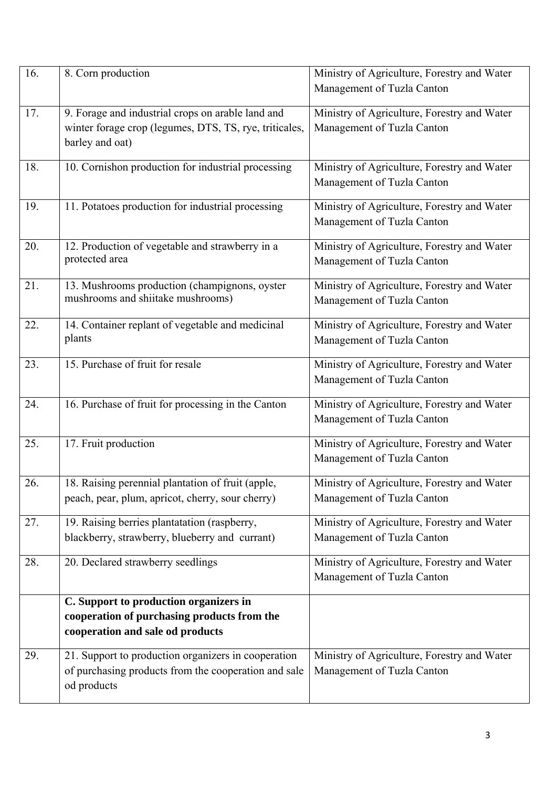| 16. | 8. Corn production                                                                                                             | Ministry of Agriculture, Forestry and Water<br>Management of Tuzla Canton |
|-----|--------------------------------------------------------------------------------------------------------------------------------|---------------------------------------------------------------------------|
| 17. | 9. Forage and industrial crops on arable land and<br>winter forage crop (legumes, DTS, TS, rye, triticales,<br>barley and oat) | Ministry of Agriculture, Forestry and Water<br>Management of Tuzla Canton |
| 18. | 10. Cornishon production for industrial processing                                                                             | Ministry of Agriculture, Forestry and Water<br>Management of Tuzla Canton |
| 19. | 11. Potatoes production for industrial processing                                                                              | Ministry of Agriculture, Forestry and Water<br>Management of Tuzla Canton |
| 20. | 12. Production of vegetable and strawberry in a<br>protected area                                                              | Ministry of Agriculture, Forestry and Water<br>Management of Tuzla Canton |
| 21. | 13. Mushrooms production (champignons, oyster<br>mushrooms and shiitake mushrooms)                                             | Ministry of Agriculture, Forestry and Water<br>Management of Tuzla Canton |
| 22. | 14. Container replant of vegetable and medicinal<br>plants                                                                     | Ministry of Agriculture, Forestry and Water<br>Management of Tuzla Canton |
| 23. | 15. Purchase of fruit for resale                                                                                               | Ministry of Agriculture, Forestry and Water<br>Management of Tuzla Canton |
| 24. | 16. Purchase of fruit for processing in the Canton                                                                             | Ministry of Agriculture, Forestry and Water<br>Management of Tuzla Canton |
| 25. | 17. Fruit production                                                                                                           | Ministry of Agriculture, Forestry and Water<br>Management of Tuzla Canton |
| 26. | 18. Raising perennial plantation of fruit (apple,<br>peach, pear, plum, apricot, cherry, sour cherry)                          | Ministry of Agriculture, Forestry and Water<br>Management of Tuzla Canton |
| 27. | 19. Raising berries plantatation (raspberry,<br>blackberry, strawberry, blueberry and currant)                                 | Ministry of Agriculture, Forestry and Water<br>Management of Tuzla Canton |
| 28. | 20. Declared strawberry seedlings                                                                                              | Ministry of Agriculture, Forestry and Water<br>Management of Tuzla Canton |
|     | C. Support to production organizers in<br>cooperation of purchasing products from the<br>cooperation and sale od products      |                                                                           |
| 29. | 21. Support to production organizers in cooperation<br>of purchasing products from the cooperation and sale<br>od products     | Ministry of Agriculture, Forestry and Water<br>Management of Tuzla Canton |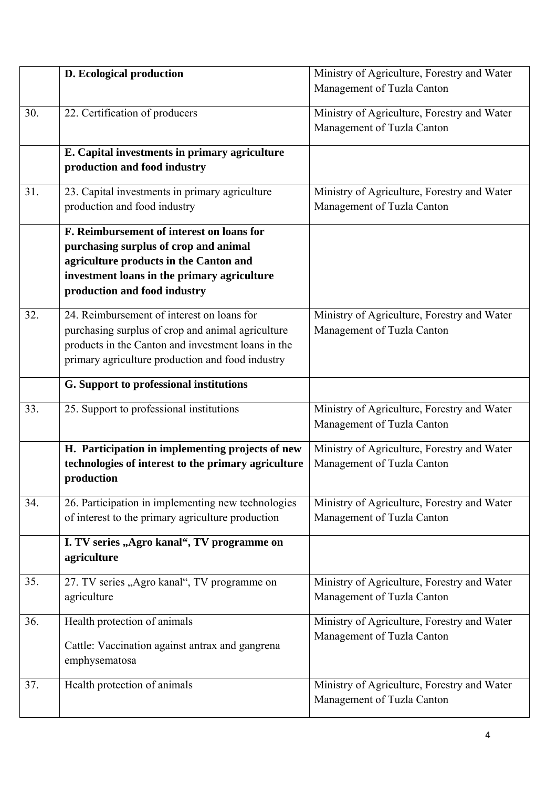|     | D. Ecological production                                                              | Ministry of Agriculture, Forestry and Water |
|-----|---------------------------------------------------------------------------------------|---------------------------------------------|
|     |                                                                                       | Management of Tuzla Canton                  |
| 30. | 22. Certification of producers                                                        | Ministry of Agriculture, Forestry and Water |
|     |                                                                                       | Management of Tuzla Canton                  |
|     | E. Capital investments in primary agriculture                                         |                                             |
|     | production and food industry                                                          |                                             |
| 31. | 23. Capital investments in primary agriculture                                        | Ministry of Agriculture, Forestry and Water |
|     | production and food industry                                                          | Management of Tuzla Canton                  |
|     | F. Reimbursement of interest on loans for                                             |                                             |
|     | purchasing surplus of crop and animal                                                 |                                             |
|     | agriculture products in the Canton and<br>investment loans in the primary agriculture |                                             |
|     | production and food industry                                                          |                                             |
| 32. | 24. Reimbursement of interest on loans for                                            | Ministry of Agriculture, Forestry and Water |
|     | purchasing surplus of crop and animal agriculture                                     | Management of Tuzla Canton                  |
|     | products in the Canton and investment loans in the                                    |                                             |
|     | primary agriculture production and food industry                                      |                                             |
|     | G. Support to professional institutions                                               |                                             |
| 33. | 25. Support to professional institutions                                              | Ministry of Agriculture, Forestry and Water |
|     |                                                                                       | Management of Tuzla Canton                  |
|     | H. Participation in implementing projects of new                                      | Ministry of Agriculture, Forestry and Water |
|     | technologies of interest to the primary agriculture                                   | Management of Tuzla Canton                  |
|     | production                                                                            |                                             |
| 34. | 26. Participation in implementing new technologies                                    | Ministry of Agriculture, Forestry and Water |
|     | of interest to the primary agriculture production                                     | Management of Tuzla Canton                  |
|     | I. TV series "Agro kanal", TV programme on                                            |                                             |
|     | agriculture                                                                           |                                             |
| 35. | 27. TV series "Agro kanal", TV programme on                                           | Ministry of Agriculture, Forestry and Water |
|     | agriculture                                                                           | Management of Tuzla Canton                  |
| 36. | Health protection of animals                                                          | Ministry of Agriculture, Forestry and Water |
|     |                                                                                       | Management of Tuzla Canton                  |
|     |                                                                                       |                                             |
|     | Cattle: Vaccination against antrax and gangrena<br>emphysematosa                      |                                             |
| 37. | Health protection of animals                                                          | Ministry of Agriculture, Forestry and Water |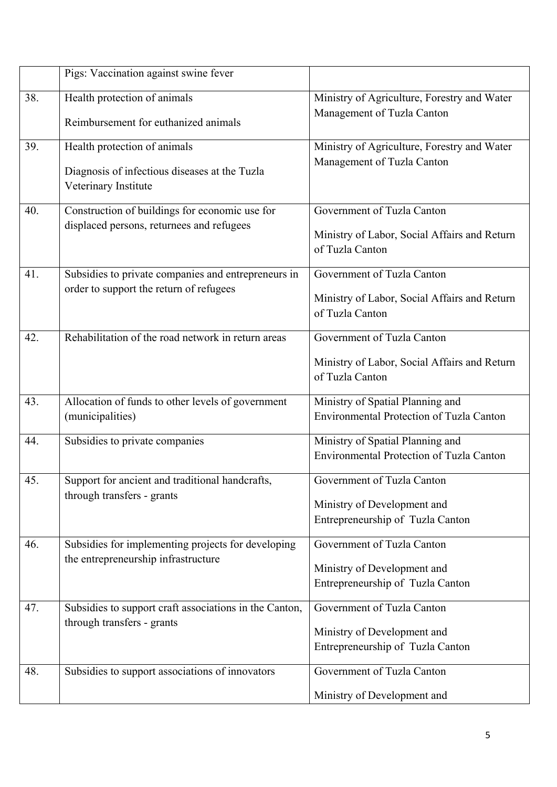|     | Pigs: Vaccination against swine fever                                 |                                                                                     |
|-----|-----------------------------------------------------------------------|-------------------------------------------------------------------------------------|
| 38. | Health protection of animals                                          | Ministry of Agriculture, Forestry and Water                                         |
|     | Reimbursement for euthanized animals                                  | Management of Tuzla Canton                                                          |
| 39. | Health protection of animals                                          | Ministry of Agriculture, Forestry and Water                                         |
|     | Diagnosis of infectious diseases at the Tuzla<br>Veterinary Institute | Management of Tuzla Canton                                                          |
| 40. | Construction of buildings for economic use for                        | Government of Tuzla Canton                                                          |
|     | displaced persons, returnees and refugees                             | Ministry of Labor, Social Affairs and Return<br>of Tuzla Canton                     |
| 41. | Subsidies to private companies and entrepreneurs in                   | Government of Tuzla Canton                                                          |
|     | order to support the return of refugees                               | Ministry of Labor, Social Affairs and Return<br>of Tuzla Canton                     |
| 42. | Rehabilitation of the road network in return areas                    | Government of Tuzla Canton                                                          |
|     |                                                                       | Ministry of Labor, Social Affairs and Return<br>of Tuzla Canton                     |
| 43. | Allocation of funds to other levels of government<br>(municipalities) | Ministry of Spatial Planning and<br><b>Environmental Protection of Tuzla Canton</b> |
| 44. | Subsidies to private companies                                        | Ministry of Spatial Planning and                                                    |
|     |                                                                       | <b>Environmental Protection of Tuzla Canton</b>                                     |
| 45. | Support for ancient and traditional handcrafts,                       | Government of Tuzla Canton                                                          |
|     | through transfers - grants                                            | Ministry of Development and                                                         |
|     |                                                                       | Entrepreneurship of Tuzla Canton                                                    |
| 46. | Subsidies for implementing projects for developing                    | Government of Tuzla Canton                                                          |
|     | the entrepreneurship infrastructure                                   | Ministry of Development and                                                         |
|     |                                                                       | Entrepreneurship of Tuzla Canton                                                    |
| 47. | Subsidies to support craft associations in the Canton,                | Government of Tuzla Canton                                                          |
|     | through transfers - grants                                            | Ministry of Development and                                                         |
|     |                                                                       | Entrepreneurship of Tuzla Canton                                                    |
| 48. | Subsidies to support associations of innovators                       | Government of Tuzla Canton                                                          |
|     |                                                                       | Ministry of Development and                                                         |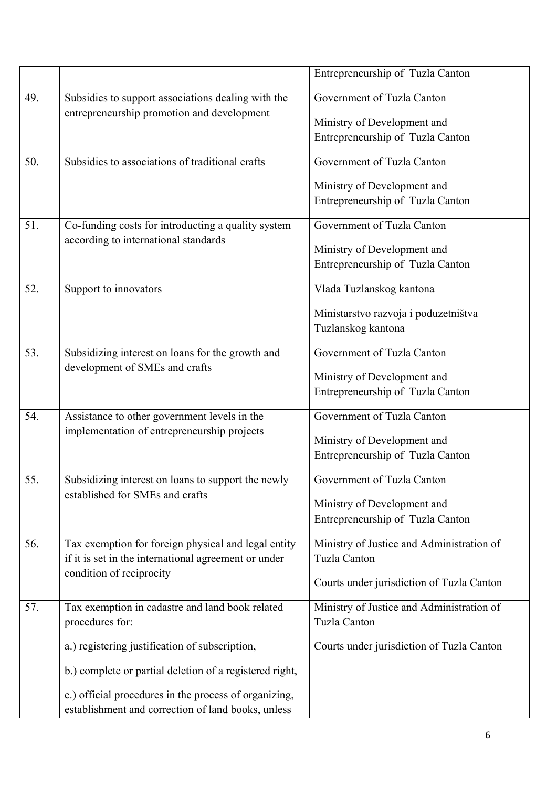|     |                                                                                            | Entrepreneurship of Tuzla Canton          |
|-----|--------------------------------------------------------------------------------------------|-------------------------------------------|
| 49. | Subsidies to support associations dealing with the                                         | Government of Tuzla Canton                |
|     | entrepreneurship promotion and development                                                 |                                           |
|     |                                                                                            | Ministry of Development and               |
|     |                                                                                            | Entrepreneurship of Tuzla Canton          |
| 50. | Subsidies to associations of traditional crafts                                            | Government of Tuzla Canton                |
|     |                                                                                            | Ministry of Development and               |
|     |                                                                                            | Entrepreneurship of Tuzla Canton          |
|     |                                                                                            |                                           |
| 51. | Co-funding costs for introducting a quality system<br>according to international standards | Government of Tuzla Canton                |
|     |                                                                                            | Ministry of Development and               |
|     |                                                                                            | Entrepreneurship of Tuzla Canton          |
| 52. | Support to innovators                                                                      | Vlada Tuzlanskog kantona                  |
|     |                                                                                            | Ministarstvo razvoja i poduzetništva      |
|     |                                                                                            | Tuzlanskog kantona                        |
|     |                                                                                            |                                           |
| 53. | Subsidizing interest on loans for the growth and                                           | Government of Tuzla Canton                |
|     | development of SMEs and crafts                                                             | Ministry of Development and               |
|     |                                                                                            | Entrepreneurship of Tuzla Canton          |
|     |                                                                                            |                                           |
| 54. | Assistance to other government levels in the                                               | Government of Tuzla Canton                |
|     | implementation of entrepreneurship projects                                                | Ministry of Development and               |
|     |                                                                                            | Entrepreneurship of Tuzla Canton          |
|     |                                                                                            |                                           |
| 55. | Subsidizing interest on loans to support the newly<br>established for SMEs and crafts      | Government of Tuzla Canton                |
|     |                                                                                            | Ministry of Development and               |
|     |                                                                                            | Entrepreneurship of Tuzla Canton          |
| 56. | Tax exemption for foreign physical and legal entity                                        | Ministry of Justice and Administration of |
|     | if it is set in the international agreement or under                                       | <b>Tuzla Canton</b>                       |
|     | condition of reciprocity                                                                   |                                           |
|     |                                                                                            | Courts under jurisdiction of Tuzla Canton |
| 57. | Tax exemption in cadastre and land book related                                            | Ministry of Justice and Administration of |
|     | procedures for:                                                                            | <b>Tuzla Canton</b>                       |
|     | a.) registering justification of subscription,                                             | Courts under jurisdiction of Tuzla Canton |
|     | b.) complete or partial deletion of a registered right,                                    |                                           |
|     |                                                                                            |                                           |
|     | c.) official procedures in the process of organizing,                                      |                                           |
|     | establishment and correction of land books, unless                                         |                                           |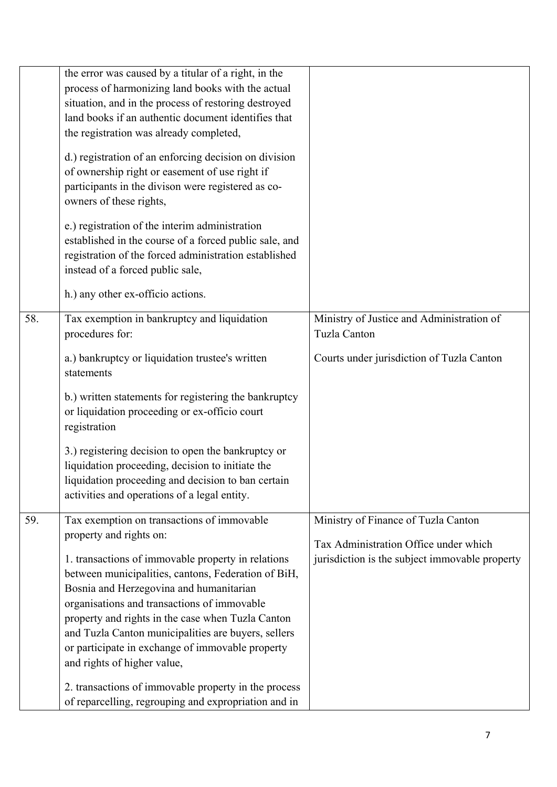|     | the error was caused by a titular of a right, in the<br>process of harmonizing land books with the actual<br>situation, and in the process of restoring destroyed<br>land books if an authentic document identifies that<br>the registration was already completed,<br>d.) registration of an enforcing decision on division<br>of ownership right or easement of use right if<br>participants in the divison were registered as co-<br>owners of these rights,<br>e.) registration of the interim administration<br>established in the course of a forced public sale, and<br>registration of the forced administration established<br>instead of a forced public sale, |                                                                                         |
|-----|--------------------------------------------------------------------------------------------------------------------------------------------------------------------------------------------------------------------------------------------------------------------------------------------------------------------------------------------------------------------------------------------------------------------------------------------------------------------------------------------------------------------------------------------------------------------------------------------------------------------------------------------------------------------------|-----------------------------------------------------------------------------------------|
|     | h.) any other ex-officio actions.                                                                                                                                                                                                                                                                                                                                                                                                                                                                                                                                                                                                                                        |                                                                                         |
| 58. | Tax exemption in bankruptcy and liquidation<br>procedures for:                                                                                                                                                                                                                                                                                                                                                                                                                                                                                                                                                                                                           | Ministry of Justice and Administration of<br><b>Tuzla Canton</b>                        |
|     | a.) bankruptcy or liquidation trustee's written<br>statements                                                                                                                                                                                                                                                                                                                                                                                                                                                                                                                                                                                                            | Courts under jurisdiction of Tuzla Canton                                               |
|     | b.) written statements for registering the bankruptcy<br>or liquidation proceeding or ex-officio court<br>registration                                                                                                                                                                                                                                                                                                                                                                                                                                                                                                                                                   |                                                                                         |
|     | 3.) registering decision to open the bankruptcy or<br>liquidation proceeding, decision to initiate the<br>liquidation proceeding and decision to ban certain<br>activities and operations of a legal entity.                                                                                                                                                                                                                                                                                                                                                                                                                                                             |                                                                                         |
| 59. | Tax exemption on transactions of immovable                                                                                                                                                                                                                                                                                                                                                                                                                                                                                                                                                                                                                               | Ministry of Finance of Tuzla Canton                                                     |
|     | property and rights on:<br>1. transactions of immovable property in relations<br>between municipalities, cantons, Federation of BiH,<br>Bosnia and Herzegovina and humanitarian<br>organisations and transactions of immovable<br>property and rights in the case when Tuzla Canton<br>and Tuzla Canton municipalities are buyers, sellers<br>or participate in exchange of immovable property<br>and rights of higher value,                                                                                                                                                                                                                                            | Tax Administration Office under which<br>jurisdiction is the subject immovable property |
|     | 2. transactions of immovable property in the process<br>of reparcelling, regrouping and expropriation and in                                                                                                                                                                                                                                                                                                                                                                                                                                                                                                                                                             |                                                                                         |